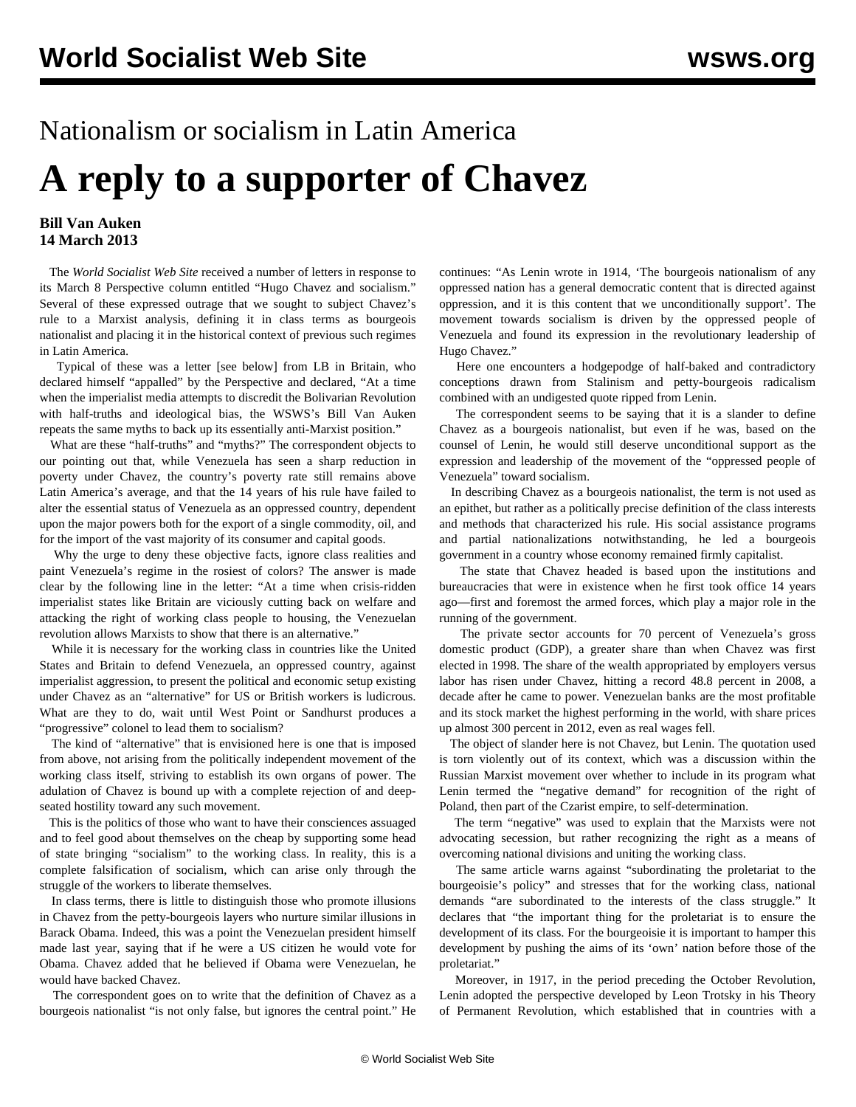## Nationalism or socialism in Latin America **A reply to a supporter of Chavez**

## **Bill Van Auken 14 March 2013**

 The *World Socialist Web Site* received a number of letters in response to its March 8 Perspective column entitled ["Hugo Chavez and socialism](/en/articles/2013/03/08/pers-m08.html)." Several of these expressed outrage that we sought to subject Chavez's rule to a Marxist analysis, defining it in class terms as bourgeois nationalist and placing it in the historical context of previous such regimes in Latin America.

 Typical of these was a letter [see below] from LB in Britain, who declared himself "appalled" by the Perspective and declared, "At a time when the imperialist media attempts to discredit the Bolivarian Revolution with half-truths and ideological bias, the WSWS's Bill Van Auken repeats the same myths to back up its essentially anti-Marxist position."

 What are these "half-truths" and "myths?" The correspondent objects to our pointing out that, while Venezuela has seen a sharp reduction in poverty under Chavez, the country's poverty rate still remains above Latin America's average, and that the 14 years of his rule have failed to alter the essential status of Venezuela as an oppressed country, dependent upon the major powers both for the export of a single commodity, oil, and for the import of the vast majority of its consumer and capital goods.

 Why the urge to deny these objective facts, ignore class realities and paint Venezuela's regime in the rosiest of colors? The answer is made clear by the following line in the letter: "At a time when crisis-ridden imperialist states like Britain are viciously cutting back on welfare and attacking the right of working class people to housing, the Venezuelan revolution allows Marxists to show that there is an alternative."

 While it is necessary for the working class in countries like the United States and Britain to defend Venezuela, an oppressed country, against imperialist aggression, to present the political and economic setup existing under Chavez as an "alternative" for US or British workers is ludicrous. What are they to do, wait until West Point or Sandhurst produces a "progressive" colonel to lead them to socialism?

 The kind of "alternative" that is envisioned here is one that is imposed from above, not arising from the politically independent movement of the working class itself, striving to establish its own organs of power. The adulation of Chavez is bound up with a complete rejection of and deepseated hostility toward any such movement.

 This is the politics of those who want to have their consciences assuaged and to feel good about themselves on the cheap by supporting some head of state bringing "socialism" to the working class. In reality, this is a complete falsification of socialism, which can arise only through the struggle of the workers to liberate themselves.

 In class terms, there is little to distinguish those who promote illusions in Chavez from the petty-bourgeois layers who nurture similar illusions in Barack Obama. Indeed, this was a point the Venezuelan president himself made last year, saying that if he were a US citizen he would vote for Obama. Chavez added that he believed if Obama were Venezuelan, he would have backed Chavez.

 The correspondent goes on to write that the definition of Chavez as a bourgeois nationalist "is not only false, but ignores the central point." He continues: "As Lenin wrote in 1914, 'The bourgeois nationalism of any oppressed nation has a general democratic content that is directed against oppression, and it is this content that we unconditionally support'. The movement towards socialism is driven by the oppressed people of Venezuela and found its expression in the revolutionary leadership of Hugo Chavez."

 Here one encounters a hodgepodge of half-baked and contradictory conceptions drawn from Stalinism and petty-bourgeois radicalism combined with an undigested quote ripped from Lenin.

 The correspondent seems to be saying that it is a slander to define Chavez as a bourgeois nationalist, but even if he was, based on the counsel of Lenin, he would still deserve unconditional support as the expression and leadership of the movement of the "oppressed people of Venezuela" toward socialism.

 In describing Chavez as a bourgeois nationalist, the term is not used as an epithet, but rather as a politically precise definition of the class interests and methods that characterized his rule. His social assistance programs and partial nationalizations notwithstanding, he led a bourgeois government in a country whose economy remained firmly capitalist.

 The state that Chavez headed is based upon the institutions and bureaucracies that were in existence when he first took office 14 years ago—first and foremost the armed forces, which play a major role in the running of the government.

 The private sector accounts for 70 percent of Venezuela's gross domestic product (GDP), a greater share than when Chavez was first elected in 1998. The share of the wealth appropriated by employers versus labor has risen under Chavez, hitting a record 48.8 percent in 2008, a decade after he came to power. Venezuelan banks are the most profitable and its stock market the highest performing in the world, with share prices up almost 300 percent in 2012, even as real wages fell.

 The object of slander here is not Chavez, but Lenin. The quotation used is torn violently out of its context, which was a discussion within the Russian Marxist movement over whether to include in its program what Lenin termed the "negative demand" for recognition of the right of Poland, then part of the Czarist empire, to self-determination.

 The term "negative" was used to explain that the Marxists were not advocating secession, but rather recognizing the right as a means of overcoming national divisions and uniting the working class.

 The same article warns against "subordinating the proletariat to the bourgeoisie's policy" and stresses that for the working class, national demands "are subordinated to the interests of the class struggle." It declares that "the important thing for the proletariat is to ensure the development of its class. For the bourgeoisie it is important to hamper this development by pushing the aims of its 'own' nation before those of the proletariat."

 Moreover, in 1917, in the period preceding the October Revolution, Lenin adopted the perspective developed by Leon Trotsky in his Theory of Permanent Revolution, which established that in countries with a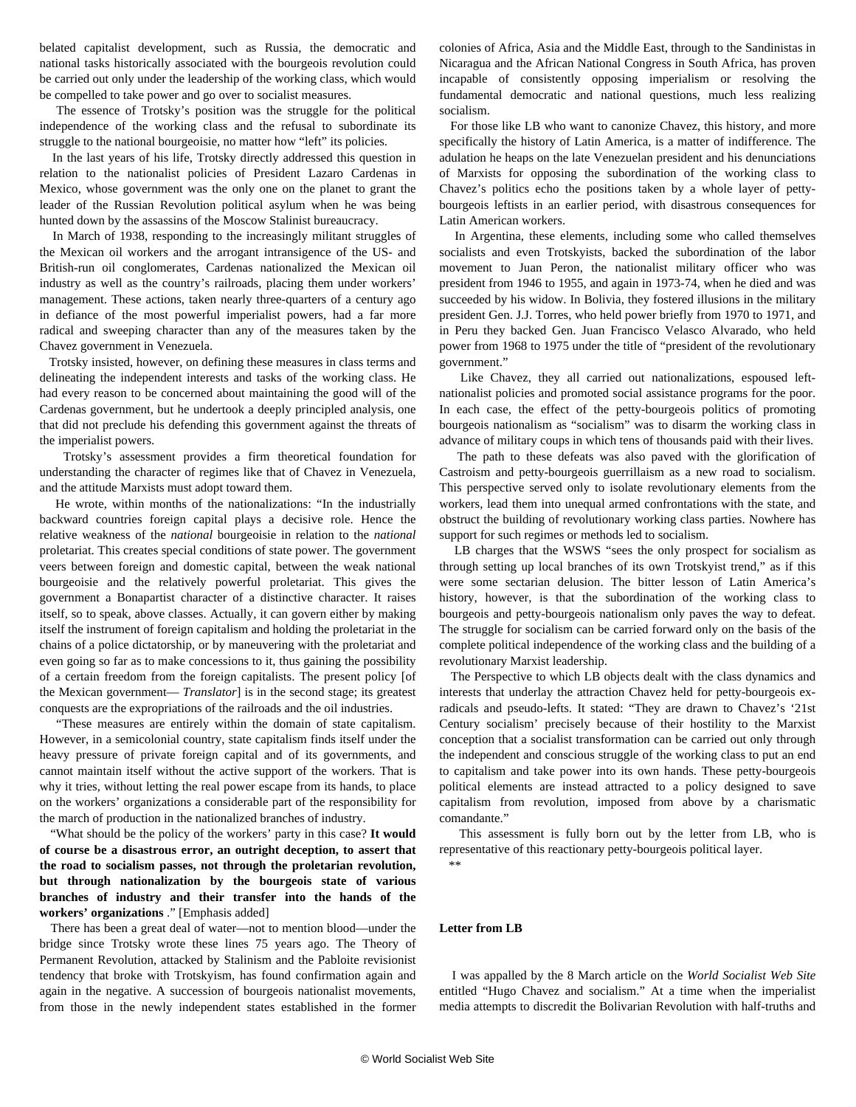belated capitalist development, such as Russia, the democratic and national tasks historically associated with the bourgeois revolution could be carried out only under the leadership of the working class, which would be compelled to take power and go over to socialist measures.

 The essence of Trotsky's position was the struggle for the political independence of the working class and the refusal to subordinate its struggle to the national bourgeoisie, no matter how "left" its policies.

 In the last years of his life, Trotsky directly addressed this question in relation to the nationalist policies of President Lazaro Cardenas in Mexico, whose government was the only one on the planet to grant the leader of the Russian Revolution political asylum when he was being hunted down by the assassins of the Moscow Stalinist bureaucracy.

 In March of 1938, responding to the increasingly militant struggles of the Mexican oil workers and the arrogant intransigence of the US- and British-run oil conglomerates, Cardenas nationalized the Mexican oil industry as well as the country's railroads, placing them under workers' management. These actions, taken nearly three-quarters of a century ago in defiance of the most powerful imperialist powers, had a far more radical and sweeping character than any of the measures taken by the Chavez government in Venezuela.

 Trotsky insisted, however, on defining these measures in class terms and delineating the independent interests and tasks of the working class. He had every reason to be concerned about maintaining the good will of the Cardenas government, but he undertook a deeply principled analysis, one that did not preclude his defending this government against the threats of the imperialist powers.

 Trotsky's assessment provides a firm theoretical foundation for understanding the character of regimes like that of Chavez in Venezuela, and the attitude Marxists must adopt toward them.

 He wrote, within months of the nationalizations: "In the industrially backward countries foreign capital plays a decisive role. Hence the relative weakness of the *national* bourgeoisie in relation to the *national* proletariat. This creates special conditions of state power. The government veers between foreign and domestic capital, between the weak national bourgeoisie and the relatively powerful proletariat. This gives the government a Bonapartist character of a distinctive character. It raises itself, so to speak, above classes. Actually, it can govern either by making itself the instrument of foreign capitalism and holding the proletariat in the chains of a police dictatorship, or by maneuvering with the proletariat and even going so far as to make concessions to it, thus gaining the possibility of a certain freedom from the foreign capitalists. The present policy [of the Mexican government— *Translator*] is in the second stage; its greatest conquests are the expropriations of the railroads and the oil industries.

 "These measures are entirely within the domain of state capitalism. However, in a semicolonial country, state capitalism finds itself under the heavy pressure of private foreign capital and of its governments, and cannot maintain itself without the active support of the workers. That is why it tries, without letting the real power escape from its hands, to place on the workers' organizations a considerable part of the responsibility for the march of production in the nationalized branches of industry.

 "What should be the policy of the workers' party in this case? **It would of course be a disastrous error, an outright deception, to assert that the road to socialism passes, not through the proletarian revolution, but through nationalization by the bourgeois state of various branches of industry and their transfer into the hands of the workers' organizations** ." [Emphasis added]

 There has been a great deal of water—not to mention blood—under the bridge since Trotsky wrote these lines 75 years ago. The Theory of Permanent Revolution, attacked by Stalinism and the Pabloite revisionist tendency that broke with Trotskyism, has found confirmation again and again in the negative. A succession of bourgeois nationalist movements, from those in the newly independent states established in the former colonies of Africa, Asia and the Middle East, through to the Sandinistas in Nicaragua and the African National Congress in South Africa, has proven incapable of consistently opposing imperialism or resolving the fundamental democratic and national questions, much less realizing socialism.

 For those like LB who want to canonize Chavez, this history, and more specifically the history of Latin America, is a matter of indifference. The adulation he heaps on the late Venezuelan president and his denunciations of Marxists for opposing the subordination of the working class to Chavez's politics echo the positions taken by a whole layer of pettybourgeois leftists in an earlier period, with disastrous consequences for Latin American workers.

 In Argentina, these elements, including some who called themselves socialists and even Trotskyists, backed the subordination of the labor movement to Juan Peron, the nationalist military officer who was president from 1946 to 1955, and again in 1973-74, when he died and was succeeded by his widow. In Bolivia, they fostered illusions in the military president Gen. J.J. Torres, who held power briefly from 1970 to 1971, and in Peru they backed Gen. Juan Francisco Velasco Alvarado, who held power from 1968 to 1975 under the title of "president of the revolutionary government."

 Like Chavez, they all carried out nationalizations, espoused leftnationalist policies and promoted social assistance programs for the poor. In each case, the effect of the petty-bourgeois politics of promoting bourgeois nationalism as "socialism" was to disarm the working class in advance of military coups in which tens of thousands paid with their lives.

 The path to these defeats was also paved with the glorification of Castroism and petty-bourgeois guerrillaism as a new road to socialism. This perspective served only to isolate revolutionary elements from the workers, lead them into unequal armed confrontations with the state, and obstruct the building of revolutionary working class parties. Nowhere has support for such regimes or methods led to socialism.

 LB charges that the WSWS "sees the only prospect for socialism as through setting up local branches of its own Trotskyist trend," as if this were some sectarian delusion. The bitter lesson of Latin America's history, however, is that the subordination of the working class to bourgeois and petty-bourgeois nationalism only paves the way to defeat. The struggle for socialism can be carried forward only on the basis of the complete political independence of the working class and the building of a revolutionary Marxist leadership.

 The Perspective to which LB objects dealt with the class dynamics and interests that underlay the attraction Chavez held for petty-bourgeois exradicals and pseudo-lefts. It stated: "They are drawn to Chavez's '21st Century socialism' precisely because of their hostility to the Marxist conception that a socialist transformation can be carried out only through the independent and conscious struggle of the working class to put an end to capitalism and take power into its own hands. These petty-bourgeois political elements are instead attracted to a policy designed to save capitalism from revolution, imposed from above by a charismatic comandante."

 This assessment is fully born out by the letter from LB, who is representative of this reactionary petty-bourgeois political layer. \*\*

## **Letter from LB**

 I was appalled by the 8 March article on the *World Socialist Web Site* entitled "Hugo Chavez and socialism." At a time when the imperialist media attempts to discredit the Bolivarian Revolution with half-truths and